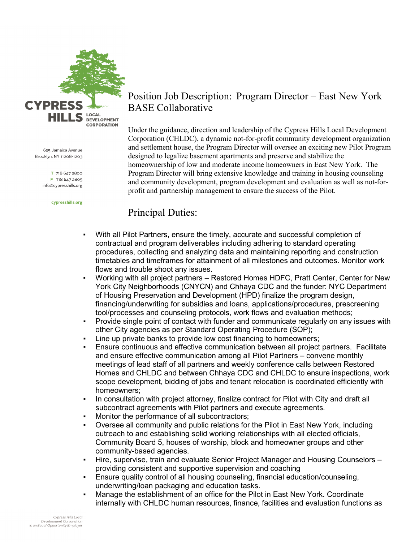

625 Jamaica Avenue Brooklyn, NY 11208-1203

> T 718 647 2800 F 718 647 2805 info@cypresshills.org

> > cypresshills.org

# Position Job Description: Program Director – East New York BASE Collaborative

Under the guidance, direction and leadership of the Cypress Hills Local Development Corporation (CHLDC), a dynamic not-for-profit community development organization and settlement house, the Program Director will oversee an exciting new Pilot Program designed to legalize basement apartments and preserve and stabilize the homeownership of low and moderate income homeowners in East New York. The Program Director will bring extensive knowledge and training in housing counseling and community development, program development and evaluation as well as not-forprofit and partnership management to ensure the success of the Pilot.

## Principal Duties:

- With all Pilot Partners, ensure the timely, accurate and successful completion of contractual and program deliverables including adhering to standard operating procedures, collecting and analyzing data and maintaining reporting and construction timetables and timeframes for attainment of all milestones and outcomes. Monitor work flows and trouble shoot any issues.
- Working with all project partners Restored Homes HDFC, Pratt Center, Center for New York City Neighborhoods (CNYCN) and Chhaya CDC and the funder: NYC Department of Housing Preservation and Development (HPD) finalize the program design, financing/underwriting for subsidies and loans, applications/procedures, prescreening tool/processes and counseling protocols, work flows and evaluation methods;
- Provide single point of contact with funder and communicate regularly on any issues with other City agencies as per Standard Operating Procedure (SOP);
- Line up private banks to provide low cost financing to homeowners;
- Ensure continuous and effective communication between all project partners. Facilitate and ensure effective communication among all Pilot Partners – convene monthly meetings of lead staff of all partners and weekly conference calls between Restored Homes and CHLDC and between Chhaya CDC and CHLDC to ensure inspections, work scope development, bidding of jobs and tenant relocation is coordinated efficiently with homeowners;
- In consultation with project attorney, finalize contract for Pilot with City and draft all subcontract agreements with Pilot partners and execute agreements.
- Monitor the performance of all subcontractors;
- Oversee all community and public relations for the Pilot in East New York, including outreach to and establishing solid working relationships with all elected officials, Community Board 5, houses of worship, block and homeowner groups and other community-based agencies.
- Hire, supervise, train and evaluate Senior Project Manager and Housing Counselors providing consistent and supportive supervision and coaching
- Ensure quality control of all housing counseling, financial education/counseling, underwriting/loan packaging and education tasks.
- Manage the establishment of an office for the Pilot in East New York. Coordinate internally with CHLDC human resources, finance, facilities and evaluation functions as